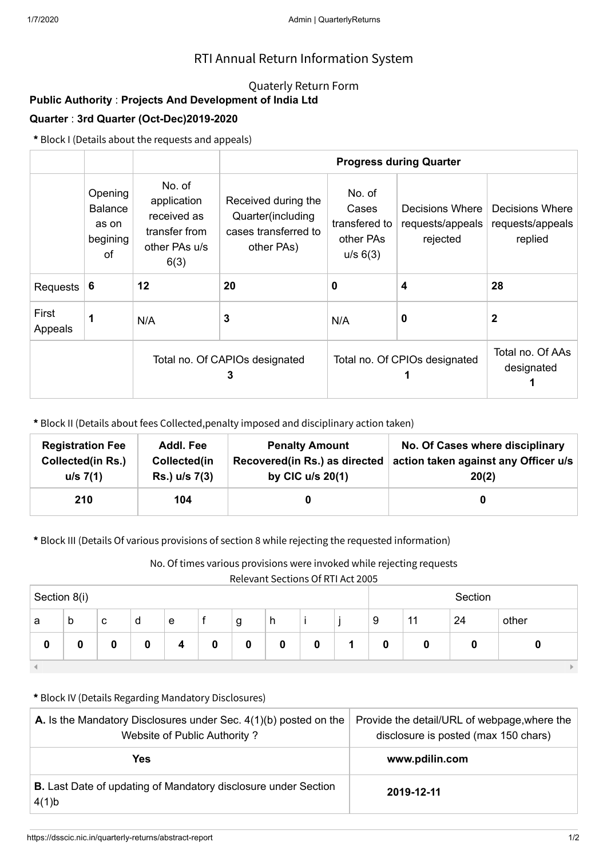## RTI Annual Return Information System

### Quaterly Return Form

# **Public Authority** : **Projects And Development of India Ltd**

### **Quarter** : **3rd Quarter (Oct-Dec)2019-2020**

**\*** Block I (Details about the requests and appeals)

|                  |                                                      |                                                                                | <b>Progress during Quarter</b>                                                 |                                                           |                                                 |                                                |  |  |  |
|------------------|------------------------------------------------------|--------------------------------------------------------------------------------|--------------------------------------------------------------------------------|-----------------------------------------------------------|-------------------------------------------------|------------------------------------------------|--|--|--|
|                  | Opening<br><b>Balance</b><br>as on<br>begining<br>of | No. of<br>application<br>received as<br>transfer from<br>other PAs u/s<br>6(3) | Received during the<br>Quarter(including<br>cases transferred to<br>other PAs) | No. of<br>Cases<br>transfered to<br>other PAs<br>u/s 6(3) | Decisions Where<br>requests/appeals<br>rejected | Decisions Where<br>requests/appeals<br>replied |  |  |  |
| Requests         | -6                                                   | 12                                                                             | 20                                                                             | 0                                                         | 4                                               | 28                                             |  |  |  |
| First<br>Appeals | 1                                                    | N/A                                                                            | 3                                                                              | N/A                                                       | 0                                               | $\mathbf 2$                                    |  |  |  |
|                  |                                                      |                                                                                | Total no. Of CAPIOs designated<br>3                                            | Total no. Of CPIOs designated                             | Total no. Of AAs<br>designated                  |                                                |  |  |  |

**\*** Block II (Details about fees Collected,penalty imposed and disciplinary action taken)

| <b>Registration Fee</b>  | Addl. Fee     | <b>Penalty Amount</b>         | No. Of Cases where disciplinary      |
|--------------------------|---------------|-------------------------------|--------------------------------------|
| <b>Collected(in Rs.)</b> | Collected(in  | Recovered(in Rs.) as directed | action taken against any Officer u/s |
| u/s 7(1)                 | Rs.) u/s 7(3) | by CIC $u/s$ 20(1)            | 20(2)                                |
| 210                      | 104           |                               |                                      |

**\*** Block III (Details Of various provisions of section 8 while rejecting the requested information)

No. Of times various provisions were invoked while rejecting requests

Relevant Sections Of RTI Act 2005

| Section 8(i) |   |   |   |   |   | Section |   |   |  |          |    |    |       |
|--------------|---|---|---|---|---|---------|---|---|--|----------|----|----|-------|
| a            | b | c | d | e |   | g       | h |   |  | 9        | 11 | 24 | other |
| 0            |   | 0 | 0 | 4 | 0 |         | 0 | 0 |  | $\bf{0}$ |    | 0  |       |
|              |   |   |   |   |   |         |   |   |  |          |    |    |       |

#### **\*** Block IV (Details Regarding Mandatory Disclosures)

| <b>A.</b> Is the Mandatory Disclosures under Sec. $4(1)(b)$ posted on the<br>Website of Public Authority? | Provide the detail/URL of webpage, where the<br>disclosure is posted (max 150 chars) |  |  |
|-----------------------------------------------------------------------------------------------------------|--------------------------------------------------------------------------------------|--|--|
| Yes                                                                                                       | www.pdilin.com                                                                       |  |  |
| <b>B.</b> Last Date of updating of Mandatory disclosure under Section<br>4(1)b                            | 2019-12-11                                                                           |  |  |